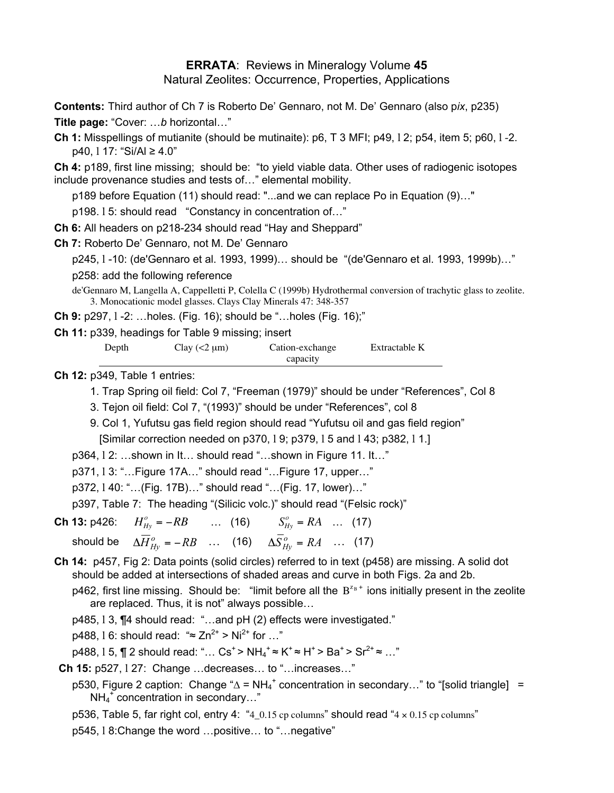## **ERRATA**: Reviews in Mineralogy Volume **45** Natural Zeolites: Occurrence, Properties, Applications

**Contents:** Third author of Ch 7 is Roberto Deí Gennaro, not M. Deí Gennaro (also p*ix*, p235)

**Title page:** "Cover: ...b horizontal..."

**Ch 1:** Misspellings of mutianite (should be mutinaite): p6, T 3 MFI; p49, l 2; p54, item 5; p60, l -2.  $p40$ , 1 17: "Si/Al  $\geq 4.0$ "

**Ch 4:** p189, first line missing; should be: "to yield viable data. Other uses of radiogenic isotopes include provenance studies and tests of..." elemental mobility.

p189 before Equation (11) should read: "...and we can replace Po in Equation (9)..."

p198. 15: should read "Constancy in concentration of..."

**Ch 6:** All headers on p218-234 should read "Hay and Sheppard"

**Ch 7:** Roberto De' Gennaro, not M. De' Gennaro

p245, l -10: (de'Gennaro et al. 1993, 1999)... should be "(de'Gennaro et al. 1993, 1999b)..."

p258: add the following reference

de'Gennaro M, Langella A, Cappelletti P, Colella C (1999b) Hydrothermal conversion of trachytic glass to zeolite. 3. Monocationic model glasses. Clays Clay Minerals 47: 348-357

**Ch 9:** p297, 1 -2: ...holes. (Fig. 16); should be "...holes (Fig. 16);"

**Ch 11:** p339, headings for Table 9 missing; insert

| Depth | Clay $(< 2 \mu m)$ | Cation-exchange | Extractable K |
|-------|--------------------|-----------------|---------------|
|       |                    | capacity        |               |

**Ch 12:** p349, Table 1 entries:

- 1. Trap Spring oil field: Col 7, "Freeman (1979)" should be under "References", Col 8
- 3. Tejon oil field: Col 7, "(1993)" should be under "References", col 8
- 9. Col 1, Yufutsu gas field region should read "Yufutsu oil and gas field region" [Similar correction needed on p370, 19; p379, 15 and 143; p382, 11.]
- p364, 12: ...shown in It... should read "...shown in Figure 11. It..."
- p371, 13: "...Figure 17A..." should read "...Figure 17, upper..."
- p372, 140: "...(Fig. 17B)..." should read "...(Fig. 17, lower)..."

p397, Table 7: The heading "(Silicic volc.)" should read "(Felsic rock)"

- **Ch 13:** p426:  $H_{Hy}^{\circ} = -RB$  ... (16)  $S_{Hy}^{\circ} = RA$  ... (17)  $\delta$  Should be  $\Delta \overline{H}^o_{Hy} = -RB$   $\ldots$  (16)  $\Delta \overline{S}^o_{Hy} = RA$   $\ldots$  (17)
- **Ch 14:** p457, Fig 2: Data points (solid circles) referred to in text (p458) are missing. A solid dot should be added at intersections of shaded areas and curve in both Figs. 2a and 2b.

p462, first line missing. Should be: "limit before all the  $B^{z_B +}$  ions initially present in the zeolite are replaced. Thus, it is not" always possible...

 $p485$ ,  $13$ ,  $\P 4$  should read: "...and  $pH (2)$  effects were investigated."

p488, 1.6: should read: "≈ Zn<sup>2+</sup> > Ni<sup>2+</sup> for ..."

p488, l 5, ¶ 2 should read: "… Cs<sup>+</sup> > NH<sub>4</sub><sup>+</sup> ≈ K<sup>+</sup> ≈ H<sup>+</sup> > Ba<sup>+</sup> > Sr<sup>2+</sup> ≈ …"

**Ch 15:** p527, 127: Change ... decreases... to "... increases..."

- p530, Figure 2 caption: Change " $\Delta$  = NH<sub>4</sub><sup>+</sup> concentration in secondary…" to "[solid triangle] =  $NH_4^+$  concentration in secondary..."
- p536, Table 5, far right col, entry 4:  $4.0.15$  cp columns" should read  $4 \times 0.15$  cp columns"

p545, 18: Change the word ... positive... to "... negative"